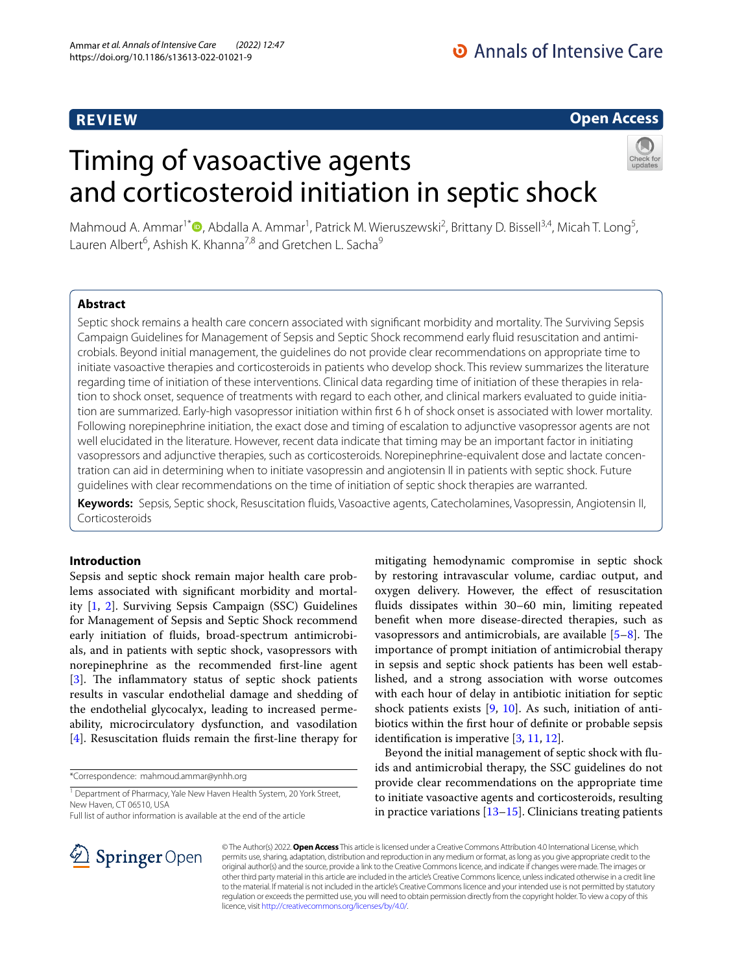# **REVIEW**

# **Open Access**

# Timing of vasoactive agents and corticosteroid initiation in septic shock



Mahmoud A. Ammar<sup>1[\\*](http://orcid.org/0000-0002-3401-9960)</sup><sup>®</sup>, Abdalla A. Ammar<sup>1</sup>, Patrick M. Wieruszewski<sup>2</sup>, Brittany D. Bissell<sup>3,4</sup>, Micah T. Long<sup>5</sup>, Lauren Albert<sup>6</sup>, Ashish K. Khanna<sup>7,8</sup> and Gretchen L. Sacha<sup>9</sup>

## **Abstract**

Septic shock remains a health care concern associated with signifcant morbidity and mortality. The Surviving Sepsis Campaign Guidelines for Management of Sepsis and Septic Shock recommend early fuid resuscitation and antimicrobials. Beyond initial management, the guidelines do not provide clear recommendations on appropriate time to initiate vasoactive therapies and corticosteroids in patients who develop shock. This review summarizes the literature regarding time of initiation of these interventions. Clinical data regarding time of initiation of these therapies in relation to shock onset, sequence of treatments with regard to each other, and clinical markers evaluated to guide initiation are summarized. Early-high vasopressor initiation within frst 6 h of shock onset is associated with lower mortality. Following norepinephrine initiation, the exact dose and timing of escalation to adjunctive vasopressor agents are not well elucidated in the literature. However, recent data indicate that timing may be an important factor in initiating vasopressors and adjunctive therapies, such as corticosteroids. Norepinephrine-equivalent dose and lactate concentration can aid in determining when to initiate vasopressin and angiotensin II in patients with septic shock. Future guidelines with clear recommendations on the time of initiation of septic shock therapies are warranted.

**Keywords:** Sepsis, Septic shock, Resuscitation fuids, Vasoactive agents, Catecholamines, Vasopressin, Angiotensin II, Corticosteroids

## **Introduction**

Sepsis and septic shock remain major health care problems associated with signifcant morbidity and mortality [\[1](#page-7-0), [2\]](#page-8-0). Surviving Sepsis Campaign (SSC) Guidelines for Management of Sepsis and Septic Shock recommend early initiation of fuids, broad-spectrum antimicrobials, and in patients with septic shock, vasopressors with norepinephrine as the recommended frst-line agent  $[3]$  $[3]$ . The inflammatory status of septic shock patients results in vascular endothelial damage and shedding of the endothelial glycocalyx, leading to increased permeability, microcirculatory dysfunction, and vasodilation [[4\]](#page-8-2). Resuscitation fluids remain the first-line therapy for

\*Correspondence: mahmoud.ammar@ynhh.org

<sup>1</sup> Department of Pharmacy, Yale New Haven Health System, 20 York Street, New Haven, CT 06510, USA

Full list of author information is available at the end of the article

mitigating hemodynamic compromise in septic shock by restoring intravascular volume, cardiac output, and oxygen delivery. However, the efect of resuscitation fuids dissipates within 30–60 min, limiting repeated beneft when more disease-directed therapies, such as vasopressors and antimicrobials, are available  $[5-8]$  $[5-8]$ . The importance of prompt initiation of antimicrobial therapy in sepsis and septic shock patients has been well established, and a strong association with worse outcomes with each hour of delay in antibiotic initiation for septic shock patients exists [[9,](#page-8-5) [10](#page-8-6)]. As such, initiation of antibiotics within the frst hour of defnite or probable sepsis identifcation is imperative [\[3](#page-8-1), [11,](#page-8-7) [12\]](#page-8-8).

Beyond the initial management of septic shock with fuids and antimicrobial therapy, the SSC guidelines do not provide clear recommendations on the appropriate time to initiate vasoactive agents and corticosteroids, resulting in practice variations [[13](#page-8-9)[–15](#page-8-10)]. Clinicians treating patients



© The Author(s) 2022. **Open Access** This article is licensed under a Creative Commons Attribution 4.0 International License, which permits use, sharing, adaptation, distribution and reproduction in any medium or format, as long as you give appropriate credit to the original author(s) and the source, provide a link to the Creative Commons licence, and indicate if changes were made. The images or other third party material in this article are included in the article's Creative Commons licence, unless indicated otherwise in a credit line to the material. If material is not included in the article's Creative Commons licence and your intended use is not permitted by statutory regulation or exceeds the permitted use, you will need to obtain permission directly from the copyright holder. To view a copy of this licence, visit [http://creativecommons.org/licenses/by/4.0/.](http://creativecommons.org/licenses/by/4.0/)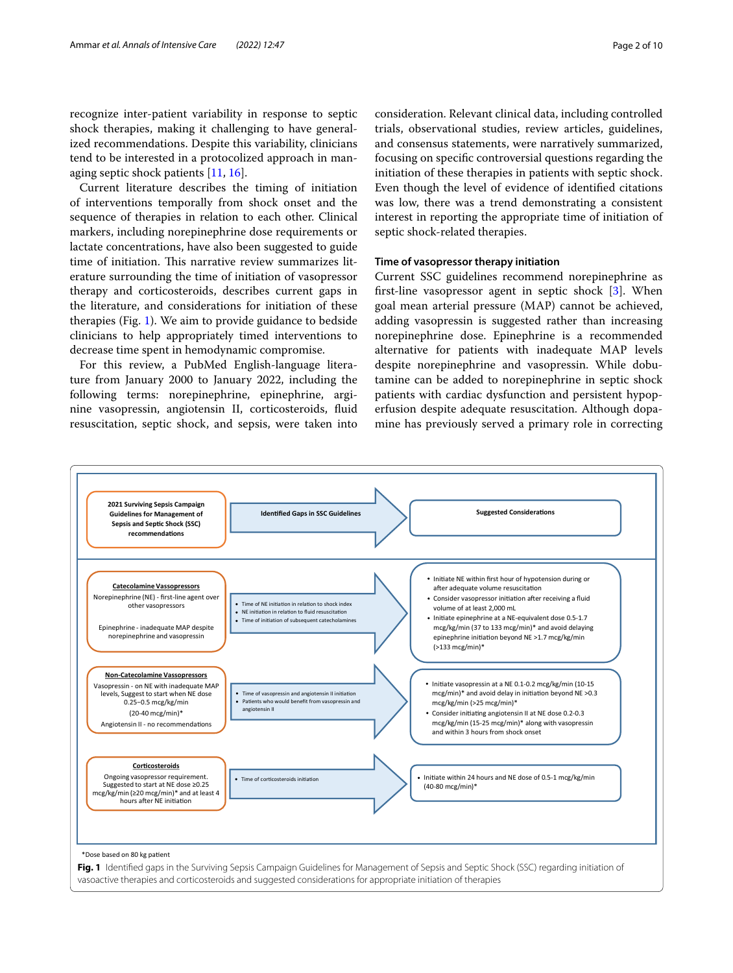recognize inter-patient variability in response to septic shock therapies, making it challenging to have generalized recommendations. Despite this variability, clinicians tend to be interested in a protocolized approach in managing septic shock patients [\[11](#page-8-7), [16\]](#page-8-11).

Current literature describes the timing of initiation of interventions temporally from shock onset and the sequence of therapies in relation to each other. Clinical markers, including norepinephrine dose requirements or lactate concentrations, have also been suggested to guide time of initiation. This narrative review summarizes literature surrounding the time of initiation of vasopressor therapy and corticosteroids, describes current gaps in the literature, and considerations for initiation of these therapies (Fig. [1](#page-1-0)). We aim to provide guidance to bedside clinicians to help appropriately timed interventions to decrease time spent in hemodynamic compromise.

For this review, a PubMed English-language literature from January 2000 to January 2022, including the following terms: norepinephrine, epinephrine, arginine vasopressin, angiotensin II, corticosteroids, fuid resuscitation, septic shock, and sepsis, were taken into consideration. Relevant clinical data, including controlled trials, observational studies, review articles, guidelines, and consensus statements, were narratively summarized, focusing on specifc controversial questions regarding the initiation of these therapies in patients with septic shock. Even though the level of evidence of identifed citations was low, there was a trend demonstrating a consistent interest in reporting the appropriate time of initiation of septic shock-related therapies.

## **Time of vasopressor therapy initiation**

Current SSC guidelines recommend norepinephrine as frst-line vasopressor agent in septic shock [\[3\]](#page-8-1). When goal mean arterial pressure (MAP) cannot be achieved, adding vasopressin is suggested rather than increasing norepinephrine dose. Epinephrine is a recommended alternative for patients with inadequate MAP levels despite norepinephrine and vasopressin. While dobutamine can be added to norepinephrine in septic shock patients with cardiac dysfunction and persistent hypoperfusion despite adequate resuscitation. Although dopamine has previously served a primary role in correcting

<span id="page-1-0"></span>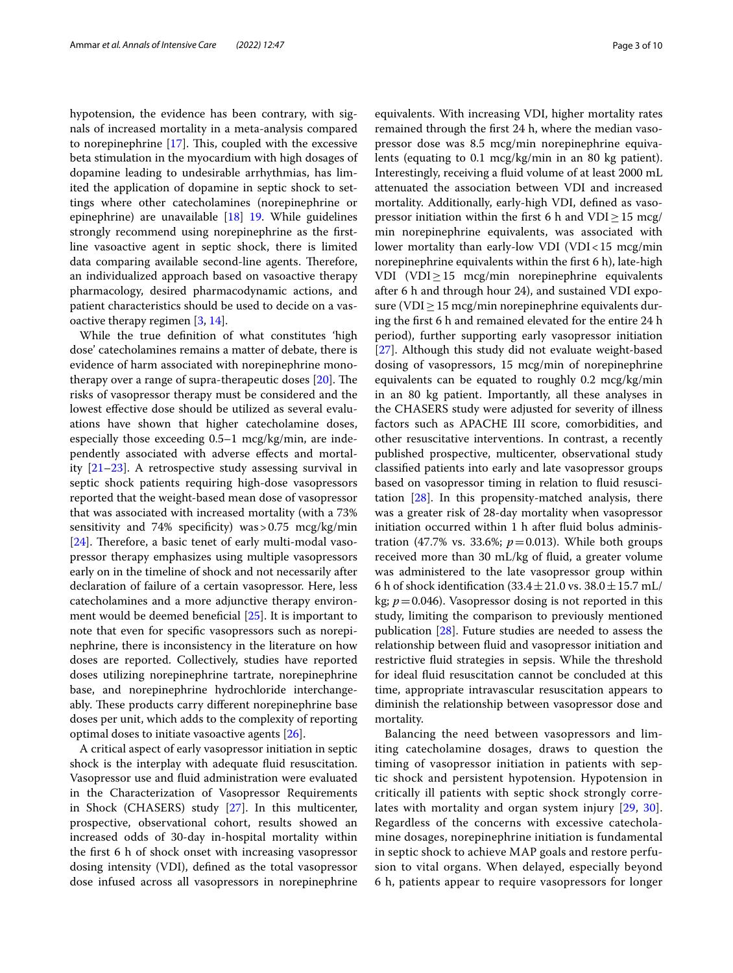hypotension, the evidence has been contrary, with signals of increased mortality in a meta-analysis compared to norepinephrine  $[17]$  $[17]$ . This, coupled with the excessive beta stimulation in the myocardium with high dosages of dopamine leading to undesirable arrhythmias, has limited the application of dopamine in septic shock to settings where other catecholamines (norepinephrine or epinephrine) are unavailable [\[18\]](#page-8-13) [19.](#page-8-13) While guidelines strongly recommend using norepinephrine as the frstline vasoactive agent in septic shock, there is limited data comparing available second-line agents. Therefore, an individualized approach based on vasoactive therapy pharmacology, desired pharmacodynamic actions, and patient characteristics should be used to decide on a vasoactive therapy regimen [[3](#page-8-1), [14\]](#page-8-14).

While the true defnition of what constitutes 'high dose' catecholamines remains a matter of debate, there is evidence of harm associated with norepinephrine monotherapy over a range of supra-therapeutic doses  $[20]$  $[20]$ . The risks of vasopressor therapy must be considered and the lowest effective dose should be utilized as several evaluations have shown that higher catecholamine doses, especially those exceeding 0.5–1 mcg/kg/min, are independently associated with adverse efects and mortality [\[21](#page-8-16)[–23](#page-8-17)]. A retrospective study assessing survival in septic shock patients requiring high-dose vasopressors reported that the weight-based mean dose of vasopressor that was associated with increased mortality (with a 73% sensitivity and 74% specificity) was  $> 0.75$  mcg/kg/min  $[24]$  $[24]$ . Therefore, a basic tenet of early multi-modal vasopressor therapy emphasizes using multiple vasopressors early on in the timeline of shock and not necessarily after declaration of failure of a certain vasopressor. Here, less catecholamines and a more adjunctive therapy environ-ment would be deemed beneficial [[25](#page-8-19)]. It is important to note that even for specifc vasopressors such as norepinephrine, there is inconsistency in the literature on how doses are reported. Collectively, studies have reported doses utilizing norepinephrine tartrate, norepinephrine base, and norepinephrine hydrochloride interchangeably. These products carry different norepinephrine base doses per unit, which adds to the complexity of reporting optimal doses to initiate vasoactive agents [\[26](#page-8-20)].

A critical aspect of early vasopressor initiation in septic shock is the interplay with adequate fuid resuscitation. Vasopressor use and fuid administration were evaluated in the Characterization of Vasopressor Requirements in Shock (CHASERS) study [\[27](#page-8-21)]. In this multicenter, prospective, observational cohort, results showed an increased odds of 30-day in-hospital mortality within the frst 6 h of shock onset with increasing vasopressor dosing intensity (VDI), defned as the total vasopressor dose infused across all vasopressors in norepinephrine equivalents. With increasing VDI, higher mortality rates remained through the frst 24 h, where the median vasopressor dose was 8.5 mcg/min norepinephrine equivalents (equating to 0.1 mcg/kg/min in an 80 kg patient). Interestingly, receiving a fuid volume of at least 2000 mL attenuated the association between VDI and increased mortality. Additionally, early-high VDI, defned as vasopressor initiation within the first 6 h and VDI $\geq$ 15 mcg/ min norepinephrine equivalents, was associated with lower mortality than early-low VDI (VDI<15 mcg/min norepinephrine equivalents within the frst 6 h), late-high VDI (VDI≥15 mcg/min norepinephrine equivalents after 6 h and through hour 24), and sustained VDI exposure (VDI $\geq$  15 mcg/min norepinephrine equivalents during the frst 6 h and remained elevated for the entire 24 h period), further supporting early vasopressor initiation [[27\]](#page-8-21). Although this study did not evaluate weight-based dosing of vasopressors, 15 mcg/min of norepinephrine equivalents can be equated to roughly 0.2 mcg/kg/min in an 80 kg patient. Importantly, all these analyses in the CHASERS study were adjusted for severity of illness factors such as APACHE III score, comorbidities, and other resuscitative interventions. In contrast, a recently published prospective, multicenter, observational study classifed patients into early and late vasopressor groups based on vasopressor timing in relation to fuid resuscitation [[28\]](#page-8-22). In this propensity-matched analysis, there was a greater risk of 28-day mortality when vasopressor initiation occurred within 1 h after fuid bolus administration (47.7% vs. 33.6%;  $p = 0.013$ ). While both groups received more than 30 mL/kg of fuid, a greater volume was administered to the late vasopressor group within 6 h of shock identification  $(33.4 \pm 21.0 \text{ vs. } 38.0 \pm 15.7 \text{ mL}$ kg;  $p = 0.046$ ). Vasopressor dosing is not reported in this study, limiting the comparison to previously mentioned publication [\[28](#page-8-22)]. Future studies are needed to assess the relationship between fuid and vasopressor initiation and restrictive fuid strategies in sepsis. While the threshold for ideal fuid resuscitation cannot be concluded at this time, appropriate intravascular resuscitation appears to diminish the relationship between vasopressor dose and mortality.

Balancing the need between vasopressors and limiting catecholamine dosages, draws to question the timing of vasopressor initiation in patients with septic shock and persistent hypotension. Hypotension in critically ill patients with septic shock strongly correlates with mortality and organ system injury [[29,](#page-8-23) [30](#page-8-24)]. Regardless of the concerns with excessive catecholamine dosages, norepinephrine initiation is fundamental in septic shock to achieve MAP goals and restore perfusion to vital organs. When delayed, especially beyond 6 h, patients appear to require vasopressors for longer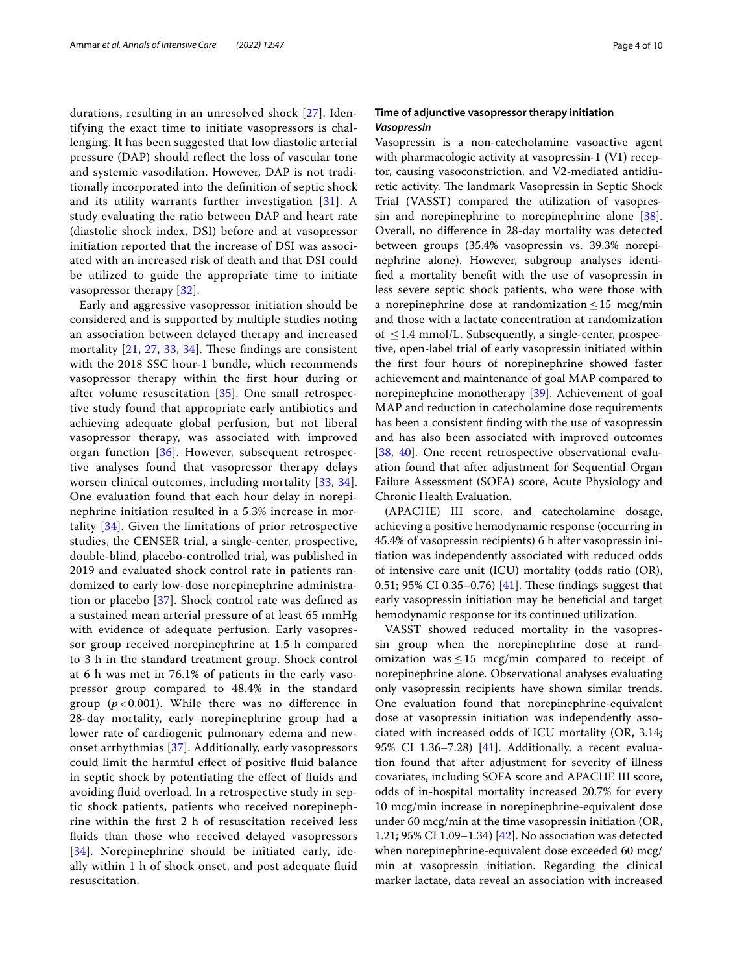durations, resulting in an unresolved shock [[27](#page-8-21)]. Identifying the exact time to initiate vasopressors is challenging. It has been suggested that low diastolic arterial pressure (DAP) should refect the loss of vascular tone and systemic vasodilation. However, DAP is not traditionally incorporated into the defnition of septic shock and its utility warrants further investigation [[31\]](#page-8-25). A study evaluating the ratio between DAP and heart rate (diastolic shock index, DSI) before and at vasopressor initiation reported that the increase of DSI was associated with an increased risk of death and that DSI could be utilized to guide the appropriate time to initiate vasopressor therapy [[32\]](#page-8-26).

Early and aggressive vasopressor initiation should be considered and is supported by multiple studies noting an association between delayed therapy and increased mortality  $[21, 27, 33, 34]$  $[21, 27, 33, 34]$  $[21, 27, 33, 34]$  $[21, 27, 33, 34]$  $[21, 27, 33, 34]$  $[21, 27, 33, 34]$  $[21, 27, 33, 34]$ . These findings are consistent with the 2018 SSC hour-1 bundle, which recommends vasopressor therapy within the frst hour during or after volume resuscitation [[35](#page-8-29)]. One small retrospective study found that appropriate early antibiotics and achieving adequate global perfusion, but not liberal vasopressor therapy, was associated with improved organ function [[36\]](#page-8-30). However, subsequent retrospective analyses found that vasopressor therapy delays worsen clinical outcomes, including mortality [\[33](#page-8-27), [34\]](#page-8-28). One evaluation found that each hour delay in norepinephrine initiation resulted in a 5.3% increase in mortality [[34](#page-8-28)]. Given the limitations of prior retrospective studies, the CENSER trial, a single-center, prospective, double-blind, placebo-controlled trial, was published in 2019 and evaluated shock control rate in patients randomized to early low-dose norepinephrine administration or placebo [[37](#page-8-31)]. Shock control rate was defned as a sustained mean arterial pressure of at least 65 mmHg with evidence of adequate perfusion. Early vasopressor group received norepinephrine at 1.5 h compared to 3 h in the standard treatment group. Shock control at 6 h was met in 76.1% of patients in the early vasopressor group compared to 48.4% in the standard group  $(p < 0.001)$ . While there was no difference in 28-day mortality, early norepinephrine group had a lower rate of cardiogenic pulmonary edema and newonset arrhythmias [\[37](#page-8-31)]. Additionally, early vasopressors could limit the harmful efect of positive fuid balance in septic shock by potentiating the efect of fuids and avoiding fuid overload. In a retrospective study in septic shock patients, patients who received norepinephrine within the frst 2 h of resuscitation received less fuids than those who received delayed vasopressors [[34](#page-8-28)]. Norepinephrine should be initiated early, ideally within 1 h of shock onset, and post adequate fuid resuscitation.

## **Time of adjunctive vasopressor therapy initiation** *Vasopressin*

Vasopressin is a non-catecholamine vasoactive agent with pharmacologic activity at vasopressin-1 (V1) receptor, causing vasoconstriction, and V2-mediated antidiuretic activity. The landmark Vasopressin in Septic Shock Trial (VASST) compared the utilization of vasopres-sin and norepinephrine to norepinephrine alone [\[38](#page-8-32)]. Overall, no diference in 28-day mortality was detected between groups (35.4% vasopressin vs. 39.3% norepinephrine alone). However, subgroup analyses identifed a mortality beneft with the use of vasopressin in less severe septic shock patients, who were those with a norepinephrine dose at randomization  $\leq 15$  mcg/min and those with a lactate concentration at randomization of  $\leq$  1.4 mmol/L. Subsequently, a single-center, prospective, open-label trial of early vasopressin initiated within the frst four hours of norepinephrine showed faster achievement and maintenance of goal MAP compared to norepinephrine monotherapy [[39](#page-8-33)]. Achievement of goal MAP and reduction in catecholamine dose requirements has been a consistent fnding with the use of vasopressin and has also been associated with improved outcomes [[38,](#page-8-32) [40](#page-8-34)]. One recent retrospective observational evaluation found that after adjustment for Sequential Organ Failure Assessment (SOFA) score, Acute Physiology and Chronic Health Evaluation.

(APACHE) III score, and catecholamine dosage, achieving a positive hemodynamic response (occurring in 45.4% of vasopressin recipients) 6 h after vasopressin initiation was independently associated with reduced odds of intensive care unit (ICU) mortality (odds ratio (OR), 0.51; 95% CI 0.35–0.76) [[41\]](#page-8-35). These findings suggest that early vasopressin initiation may be benefcial and target hemodynamic response for its continued utilization.

VASST showed reduced mortality in the vasopressin group when the norepinephrine dose at randomization was  $\leq$  15 mcg/min compared to receipt of norepinephrine alone. Observational analyses evaluating only vasopressin recipients have shown similar trends. One evaluation found that norepinephrine-equivalent dose at vasopressin initiation was independently associated with increased odds of ICU mortality (OR, 3.14; 95% CI 1.36–7.28) [\[41\]](#page-8-35). Additionally, a recent evaluation found that after adjustment for severity of illness covariates, including SOFA score and APACHE III score, odds of in-hospital mortality increased 20.7% for every 10 mcg/min increase in norepinephrine-equivalent dose under 60 mcg/min at the time vasopressin initiation (OR, 1.21; 95% CI 1.09–1.34) [[42\]](#page-8-36). No association was detected when norepinephrine-equivalent dose exceeded 60 mcg/ min at vasopressin initiation. Regarding the clinical marker lactate, data reveal an association with increased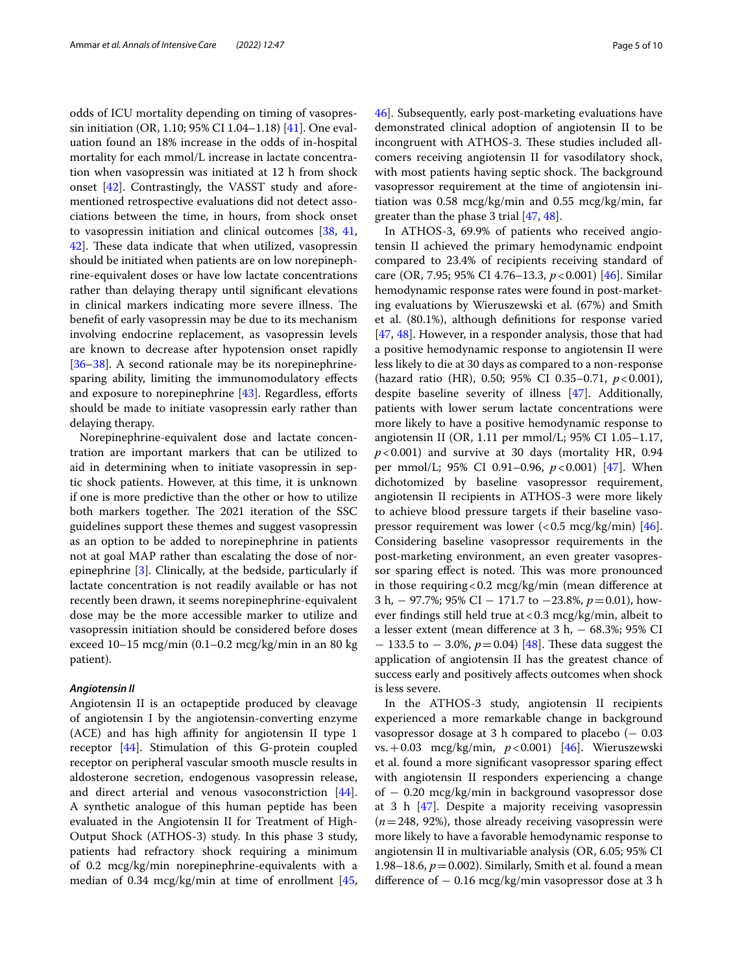odds of ICU mortality depending on timing of vasopressin initiation (OR, 1.10; 95% CI 1.04–1.18) [\[41](#page-8-35)]. One evaluation found an 18% increase in the odds of in-hospital mortality for each mmol/L increase in lactate concentration when vasopressin was initiated at 12 h from shock onset [[42](#page-8-36)]. Contrastingly, the VASST study and aforementioned retrospective evaluations did not detect associations between the time, in hours, from shock onset to vasopressin initiation and clinical outcomes [\[38](#page-8-32), [41](#page-8-35), [42\]](#page-8-36). These data indicate that when utilized, vasopressin should be initiated when patients are on low norepinephrine-equivalent doses or have low lactate concentrations rather than delaying therapy until signifcant elevations in clinical markers indicating more severe illness. The beneft of early vasopressin may be due to its mechanism involving endocrine replacement, as vasopressin levels are known to decrease after hypotension onset rapidly [[36–](#page-8-30)[38](#page-8-32)]. A second rationale may be its norepinephrinesparing ability, limiting the immunomodulatory efects and exposure to norepinephrine  $[43]$  $[43]$ . Regardless, efforts should be made to initiate vasopressin early rather than delaying therapy.

Norepinephrine-equivalent dose and lactate concentration are important markers that can be utilized to aid in determining when to initiate vasopressin in septic shock patients. However, at this time, it is unknown if one is more predictive than the other or how to utilize both markers together. The 2021 iteration of the SSC guidelines support these themes and suggest vasopressin as an option to be added to norepinephrine in patients not at goal MAP rather than escalating the dose of norepinephrine [[3\]](#page-8-1). Clinically, at the bedside, particularly if lactate concentration is not readily available or has not recently been drawn, it seems norepinephrine-equivalent dose may be the more accessible marker to utilize and vasopressin initiation should be considered before doses exceed 10–15 mcg/min (0.1–0.2 mcg/kg/min in an 80 kg patient).

## *Angiotensin II*

Angiotensin II is an octapeptide produced by cleavage of angiotensin I by the angiotensin-converting enzyme (ACE) and has high affinity for angiotensin II type 1 receptor [\[44](#page-9-0)]. Stimulation of this G-protein coupled receptor on peripheral vascular smooth muscle results in aldosterone secretion, endogenous vasopressin release, and direct arterial and venous vasoconstriction [\[44](#page-9-0)]. A synthetic analogue of this human peptide has been evaluated in the Angiotensin II for Treatment of High-Output Shock (ATHOS-3) study. In this phase 3 study, patients had refractory shock requiring a minimum of 0.2 mcg/kg/min norepinephrine-equivalents with a median of 0.34  $\text{mcg/kg/min}$  at time of enrollment [\[45](#page-9-1), [46\]](#page-9-2). Subsequently, early post-marketing evaluations have demonstrated clinical adoption of angiotensin II to be incongruent with ATHOS-3. These studies included allcomers receiving angiotensin II for vasodilatory shock, with most patients having septic shock. The background vasopressor requirement at the time of angiotensin initiation was 0.58 mcg/kg/min and 0.55 mcg/kg/min, far greater than the phase 3 trial [\[47](#page-9-3), [48\]](#page-9-4).

In ATHOS-3, 69.9% of patients who received angiotensin II achieved the primary hemodynamic endpoint compared to 23.4% of recipients receiving standard of care (OR, 7.95; 95% CI 4.76–13.3, *p*<0.001) [\[46\]](#page-9-2). Similar hemodynamic response rates were found in post-marketing evaluations by Wieruszewski et al. (67%) and Smith et al. (80.1%), although defnitions for response varied [[47,](#page-9-3) [48](#page-9-4)]. However, in a responder analysis, those that had a positive hemodynamic response to angiotensin II were less likely to die at 30 days as compared to a non-response (hazard ratio (HR), 0.50; 95% CI 0.35–0.71, *p*<0.001), despite baseline severity of illness [\[47\]](#page-9-3). Additionally, patients with lower serum lactate concentrations were more likely to have a positive hemodynamic response to angiotensin II (OR, 1.11 per mmol/L; 95% CI 1.05–1.17,  $p$ <0.001) and survive at 30 days (mortality HR, 0.94 per mmol/L; 95% CI 0.91–0.96, *p*<0.001) [\[47](#page-9-3)]. When dichotomized by baseline vasopressor requirement, angiotensin II recipients in ATHOS-3 were more likely to achieve blood pressure targets if their baseline vasopressor requirement was lower  $\left($  < 0.5 mcg/kg/min) [\[46](#page-9-2)]. Considering baseline vasopressor requirements in the post-marketing environment, an even greater vasopressor sparing effect is noted. This was more pronounced in those requiring  $< 0.2$  mcg/kg/min (mean difference at 3 h, − 97.7%; 95% CI − 171.7 to −23.8%, *p*=0.01), however fndings still held true at<0.3 mcg/kg/min, albeit to a lesser extent (mean diference at 3 h, − 68.3%; 95% CI − 133.5 to − 3.0%,  $p = 0.04$ ) [\[48](#page-9-4)]. These data suggest the application of angiotensin II has the greatest chance of success early and positively afects outcomes when shock is less severe.

In the ATHOS-3 study, angiotensin II recipients experienced a more remarkable change in background vasopressor dosage at 3 h compared to placebo  $(-0.03)$ vs.+0.03 mcg/kg/min, *p*<0.001) [[46\]](#page-9-2). Wieruszewski et al. found a more signifcant vasopressor sparing efect with angiotensin II responders experiencing a change of − 0.20 mcg/kg/min in background vasopressor dose at 3 h [[47\]](#page-9-3). Despite a majority receiving vasopressin (*n*=248, 92%), those already receiving vasopressin were more likely to have a favorable hemodynamic response to angiotensin II in multivariable analysis (OR, 6.05; 95% CI 1.98–18.6,  $p = 0.002$ ). Similarly, Smith et al. found a mean difference of  $-0.16$  mcg/kg/min vasopressor dose at 3 h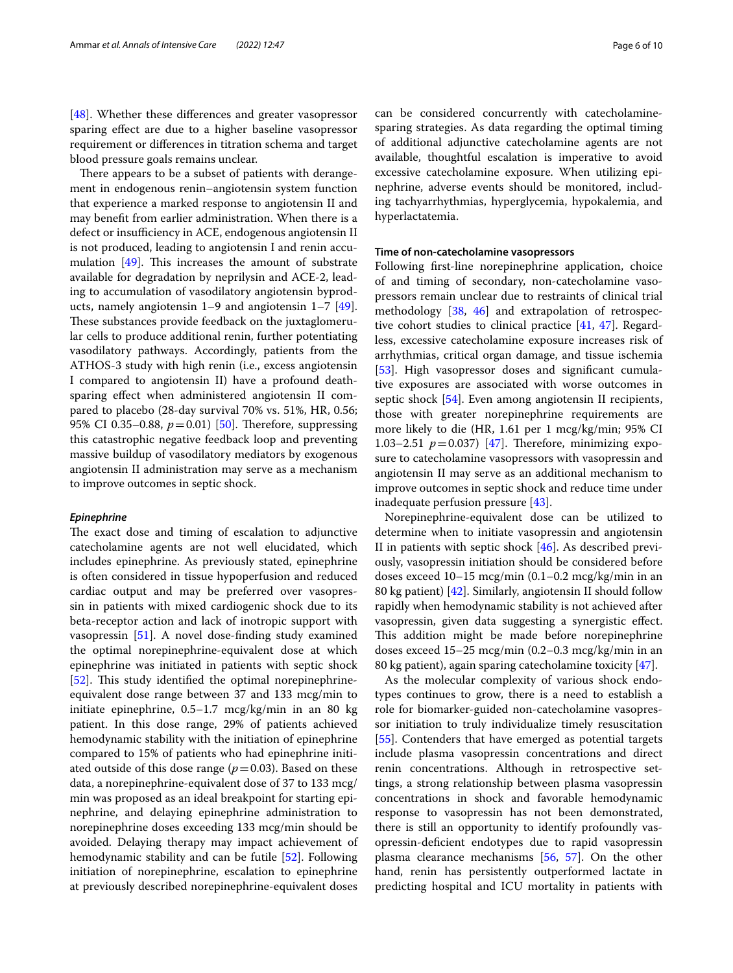[[48\]](#page-9-4). Whether these differences and greater vasopressor sparing efect are due to a higher baseline vasopressor requirement or diferences in titration schema and target blood pressure goals remains unclear.

There appears to be a subset of patients with derangement in endogenous renin–angiotensin system function that experience a marked response to angiotensin II and may beneft from earlier administration. When there is a defect or insufficiency in ACE, endogenous angiotensin II is not produced, leading to angiotensin I and renin accumulation  $[49]$  $[49]$  $[49]$ . This increases the amount of substrate available for degradation by neprilysin and ACE-2, leading to accumulation of vasodilatory angiotensin byproducts, namely angiotensin 1–9 and angiotensin 1–7 [\[49](#page-9-5)]. These substances provide feedback on the juxtaglomerular cells to produce additional renin, further potentiating vasodilatory pathways. Accordingly, patients from the ATHOS-3 study with high renin (i.e., excess angiotensin I compared to angiotensin II) have a profound deathsparing efect when administered angiotensin II compared to placebo (28-day survival 70% vs. 51%, HR, 0.56; 95% CI 0.35–0.88,  $p=0.01$ ) [\[50](#page-9-6)]. Therefore, suppressing this catastrophic negative feedback loop and preventing massive buildup of vasodilatory mediators by exogenous angiotensin II administration may serve as a mechanism to improve outcomes in septic shock.

### *Epinephrine*

The exact dose and timing of escalation to adjunctive catecholamine agents are not well elucidated, which includes epinephrine. As previously stated, epinephrine is often considered in tissue hypoperfusion and reduced cardiac output and may be preferred over vasopressin in patients with mixed cardiogenic shock due to its beta-receptor action and lack of inotropic support with vasopressin [[51](#page-9-7)]. A novel dose-fnding study examined the optimal norepinephrine-equivalent dose at which epinephrine was initiated in patients with septic shock  $[52]$  $[52]$ . This study identified the optimal norepinephrineequivalent dose range between 37 and 133 mcg/min to initiate epinephrine, 0.5–1.7 mcg/kg/min in an 80 kg patient. In this dose range, 29% of patients achieved hemodynamic stability with the initiation of epinephrine compared to 15% of patients who had epinephrine initiated outside of this dose range  $(p=0.03)$ . Based on these data, a norepinephrine-equivalent dose of 37 to 133 mcg/ min was proposed as an ideal breakpoint for starting epinephrine, and delaying epinephrine administration to norepinephrine doses exceeding 133 mcg/min should be avoided. Delaying therapy may impact achievement of hemodynamic stability and can be futile [[52\]](#page-9-8). Following initiation of norepinephrine, escalation to epinephrine at previously described norepinephrine-equivalent doses

can be considered concurrently with catecholaminesparing strategies. As data regarding the optimal timing of additional adjunctive catecholamine agents are not available, thoughtful escalation is imperative to avoid excessive catecholamine exposure. When utilizing epinephrine, adverse events should be monitored, including tachyarrhythmias, hyperglycemia, hypokalemia, and hyperlactatemia.

#### **Time of non‑catecholamine vasopressors**

Following frst-line norepinephrine application, choice of and timing of secondary, non-catecholamine vasopressors remain unclear due to restraints of clinical trial methodology [\[38](#page-8-32), [46\]](#page-9-2) and extrapolation of retrospective cohort studies to clinical practice [\[41](#page-8-35), [47](#page-9-3)]. Regardless, excessive catecholamine exposure increases risk of arrhythmias, critical organ damage, and tissue ischemia [[53\]](#page-9-9). High vasopressor doses and significant cumulative exposures are associated with worse outcomes in septic shock [\[54](#page-9-10)]. Even among angiotensin II recipients, those with greater norepinephrine requirements are more likely to die (HR, 1.61 per 1 mcg/kg/min; 95% CI 1.03–2.51  $p=0.037$  [\[47](#page-9-3)]. Therefore, minimizing exposure to catecholamine vasopressors with vasopressin and angiotensin II may serve as an additional mechanism to improve outcomes in septic shock and reduce time under inadequate perfusion pressure [[43](#page-8-37)].

Norepinephrine-equivalent dose can be utilized to determine when to initiate vasopressin and angiotensin II in patients with septic shock [\[46](#page-9-2)]. As described previously, vasopressin initiation should be considered before doses exceed 10–15 mcg/min (0.1–0.2 mcg/kg/min in an 80 kg patient) [\[42](#page-8-36)]. Similarly, angiotensin II should follow rapidly when hemodynamic stability is not achieved after vasopressin, given data suggesting a synergistic efect. This addition might be made before norepinephrine doses exceed 15–25 mcg/min (0.2–0.3 mcg/kg/min in an 80 kg patient), again sparing catecholamine toxicity [\[47](#page-9-3)].

As the molecular complexity of various shock endotypes continues to grow, there is a need to establish a role for biomarker-guided non-catecholamine vasopressor initiation to truly individualize timely resuscitation [[55\]](#page-9-11). Contenders that have emerged as potential targets include plasma vasopressin concentrations and direct renin concentrations. Although in retrospective settings, a strong relationship between plasma vasopressin concentrations in shock and favorable hemodynamic response to vasopressin has not been demonstrated, there is still an opportunity to identify profoundly vasopressin-defcient endotypes due to rapid vasopressin plasma clearance mechanisms [\[56,](#page-9-12) [57](#page-9-13)]. On the other hand, renin has persistently outperformed lactate in predicting hospital and ICU mortality in patients with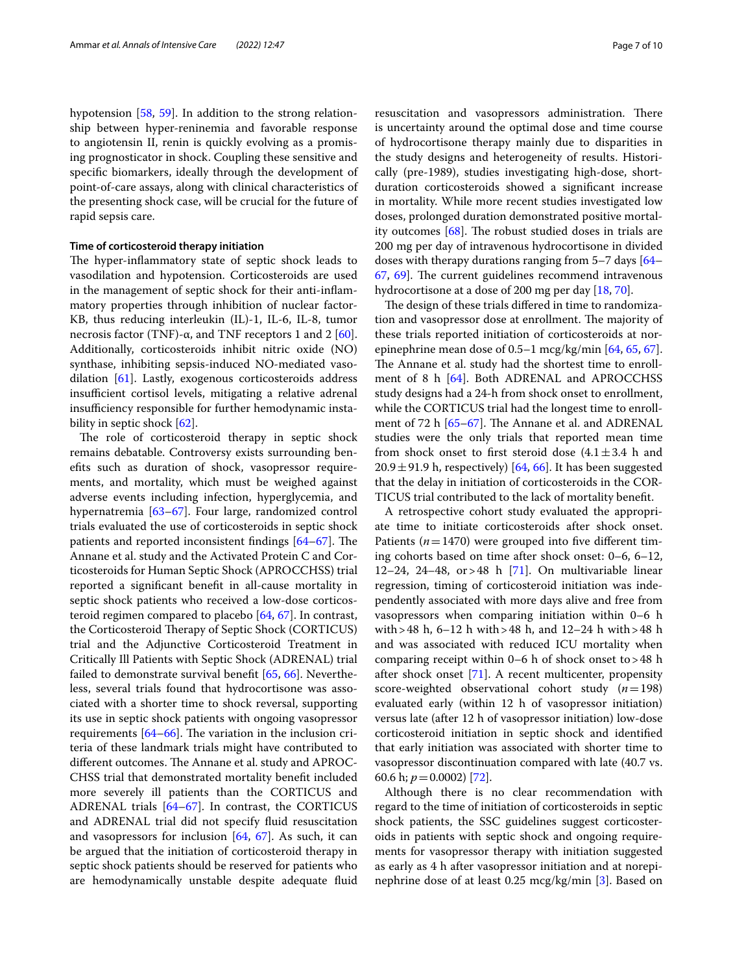hypotension [[58,](#page-9-14) [59](#page-9-15)]. In addition to the strong relationship between hyper-reninemia and favorable response to angiotensin II, renin is quickly evolving as a promising prognosticator in shock. Coupling these sensitive and specifc biomarkers, ideally through the development of point-of-care assays, along with clinical characteristics of the presenting shock case, will be crucial for the future of rapid sepsis care.

## **Time of corticosteroid therapy initiation**

The hyper-inflammatory state of septic shock leads to vasodilation and hypotension. Corticosteroids are used in the management of septic shock for their anti-infammatory properties through inhibition of nuclear factor-KB, thus reducing interleukin (IL)-1, IL-6, IL-8, tumor necrosis factor (TNF)- $\alpha$ , and TNF receptors 1 and 2 [\[60](#page-9-16)]. Additionally, corticosteroids inhibit nitric oxide (NO) synthase, inhibiting sepsis-induced NO-mediated vasodilation [[61\]](#page-9-17). Lastly, exogenous corticosteroids address insufficient cortisol levels, mitigating a relative adrenal insufficiency responsible for further hemodynamic insta-bility in septic shock [[62](#page-9-18)].

The role of corticosteroid therapy in septic shock remains debatable. Controversy exists surrounding benefts such as duration of shock, vasopressor requirements, and mortality, which must be weighed against adverse events including infection, hyperglycemia, and hypernatremia [[63–](#page-9-19)[67\]](#page-9-20). Four large, randomized control trials evaluated the use of corticosteroids in septic shock patients and reported inconsistent findings  $[64-67]$  $[64-67]$ . The Annane et al. study and the Activated Protein C and Corticosteroids for Human Septic Shock (APROCCHSS) trial reported a signifcant beneft in all-cause mortality in septic shock patients who received a low-dose corticosteroid regimen compared to placebo [\[64](#page-9-21), [67\]](#page-9-20). In contrast, the Corticosteroid Therapy of Septic Shock (CORTICUS) trial and the Adjunctive Corticosteroid Treatment in Critically Ill Patients with Septic Shock (ADRENAL) trial failed to demonstrate survival beneft [\[65,](#page-9-22) [66\]](#page-9-23). Nevertheless, several trials found that hydrocortisone was associated with a shorter time to shock reversal, supporting its use in septic shock patients with ongoing vasopressor requirements  $[64–66]$  $[64–66]$  $[64–66]$  $[64–66]$ . The variation in the inclusion criteria of these landmark trials might have contributed to different outcomes. The Annane et al. study and APROC-CHSS trial that demonstrated mortality beneft included more severely ill patients than the CORTICUS and ADRENAL trials [\[64–](#page-9-21)[67\]](#page-9-20). In contrast, the CORTICUS and ADRENAL trial did not specify fuid resuscitation and vasopressors for inclusion  $[64, 67]$  $[64, 67]$  $[64, 67]$  $[64, 67]$  $[64, 67]$ . As such, it can be argued that the initiation of corticosteroid therapy in septic shock patients should be reserved for patients who are hemodynamically unstable despite adequate fuid resuscitation and vasopressors administration. There is uncertainty around the optimal dose and time course of hydrocortisone therapy mainly due to disparities in the study designs and heterogeneity of results. Historically (pre-1989), studies investigating high-dose, shortduration corticosteroids showed a signifcant increase in mortality. While more recent studies investigated low doses, prolonged duration demonstrated positive mortality outcomes  $[68]$  $[68]$  $[68]$ . The robust studied doses in trials are 200 mg per day of intravenous hydrocortisone in divided doses with therapy durations ranging from 5–7 days [[64–](#page-9-21) [67,](#page-9-20) [69](#page-9-25)]. The current guidelines recommend intravenous hydrocortisone at a dose of 200 mg per day [\[18](#page-8-13), [70\]](#page-9-26).

The design of these trials differed in time to randomization and vasopressor dose at enrollment. The majority of these trials reported initiation of corticosteroids at norepinephrine mean dose of 0.5–1 mcg/kg/min [\[64](#page-9-21), [65,](#page-9-22) [67](#page-9-20)]. The Annane et al. study had the shortest time to enroll-ment of 8 h [[64\]](#page-9-21). Both ADRENAL and APROCCHSS study designs had a 24-h from shock onset to enrollment, while the CORTICUS trial had the longest time to enrollment of 72 h  $[65–67]$  $[65–67]$  $[65–67]$ . The Annane et al. and ADRENAL studies were the only trials that reported mean time from shock onset to first steroid dose  $(4.1 \pm 3.4)$  h and  $20.9 \pm 91.9$  h, respectively) [[64,](#page-9-21) [66](#page-9-23)]. It has been suggested that the delay in initiation of corticosteroids in the COR-TICUS trial contributed to the lack of mortality beneft.

A retrospective cohort study evaluated the appropriate time to initiate corticosteroids after shock onset. Patients ( $n=1470$ ) were grouped into five different timing cohorts based on time after shock onset: 0–6, 6–12, 12–24, 24–48, or > 48 h  $[71]$  $[71]$ . On multivariable linear regression, timing of corticosteroid initiation was independently associated with more days alive and free from vasopressors when comparing initiation within 0–6 h with>48 h, 6–12 h with>48 h, and 12–24 h with>48 h and was associated with reduced ICU mortality when comparing receipt within  $0-6$  h of shock onset to > 48 h after shock onset [[71](#page-9-27)]. A recent multicenter, propensity score-weighted observational cohort study (*n*=198) evaluated early (within 12 h of vasopressor initiation) versus late (after 12 h of vasopressor initiation) low-dose corticosteroid initiation in septic shock and identifed that early initiation was associated with shorter time to vasopressor discontinuation compared with late (40.7 vs. 60.6 h; *p*=0.0002) [[72\]](#page-9-28).

Although there is no clear recommendation with regard to the time of initiation of corticosteroids in septic shock patients, the SSC guidelines suggest corticosteroids in patients with septic shock and ongoing requirements for vasopressor therapy with initiation suggested as early as 4 h after vasopressor initiation and at norepinephrine dose of at least 0.25 mcg/kg/min [\[3](#page-8-1)]. Based on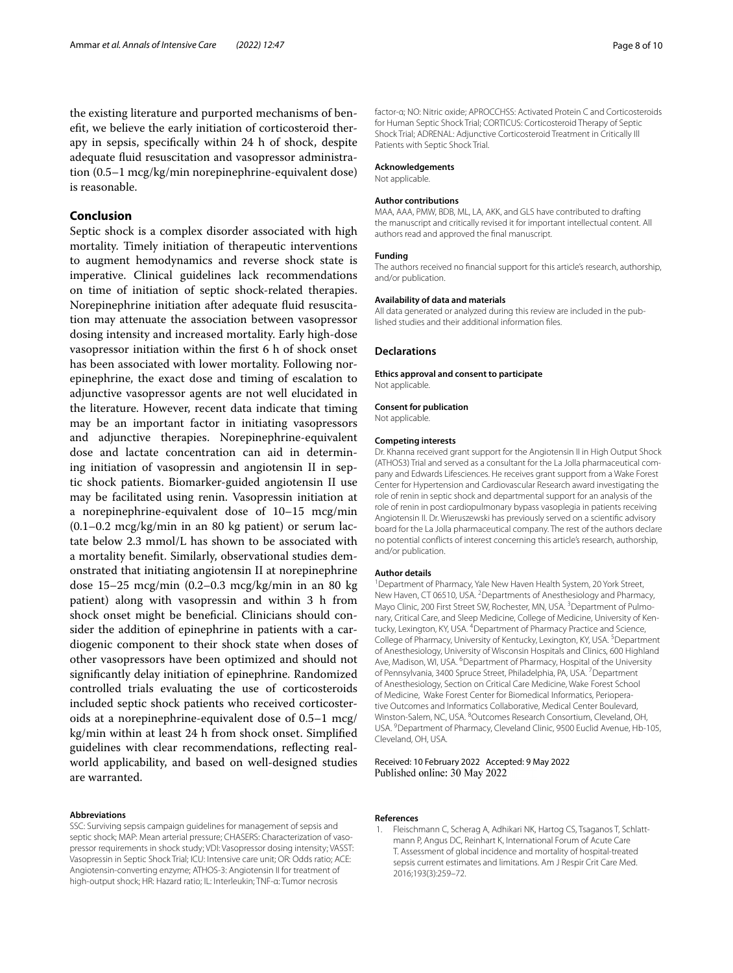the existing literature and purported mechanisms of beneft, we believe the early initiation of corticosteroid therapy in sepsis, specifcally within 24 h of shock, despite adequate fuid resuscitation and vasopressor administration (0.5–1 mcg/kg/min norepinephrine-equivalent dose) is reasonable.

## **Conclusion**

Septic shock is a complex disorder associated with high mortality. Timely initiation of therapeutic interventions to augment hemodynamics and reverse shock state is imperative. Clinical guidelines lack recommendations on time of initiation of septic shock-related therapies. Norepinephrine initiation after adequate fuid resuscitation may attenuate the association between vasopressor dosing intensity and increased mortality. Early high-dose vasopressor initiation within the frst 6 h of shock onset has been associated with lower mortality. Following norepinephrine, the exact dose and timing of escalation to adjunctive vasopressor agents are not well elucidated in the literature. However, recent data indicate that timing may be an important factor in initiating vasopressors and adjunctive therapies. Norepinephrine-equivalent dose and lactate concentration can aid in determining initiation of vasopressin and angiotensin II in septic shock patients. Biomarker-guided angiotensin II use may be facilitated using renin. Vasopressin initiation at a norepinephrine-equivalent dose of 10–15 mcg/min  $(0.1-0.2 \text{ mcg/kg/min}$  in an 80 kg patient) or serum lactate below 2.3 mmol/L has shown to be associated with a mortality beneft. Similarly, observational studies demonstrated that initiating angiotensin II at norepinephrine dose 15–25 mcg/min (0.2–0.3 mcg/kg/min in an 80 kg patient) along with vasopressin and within 3 h from shock onset might be beneficial. Clinicians should consider the addition of epinephrine in patients with a cardiogenic component to their shock state when doses of other vasopressors have been optimized and should not signifcantly delay initiation of epinephrine. Randomized controlled trials evaluating the use of corticosteroids included septic shock patients who received corticosteroids at a norepinephrine-equivalent dose of 0.5–1 mcg/ kg/min within at least 24 h from shock onset. Simplifed guidelines with clear recommendations, refecting realworld applicability, and based on well-designed studies are warranted.

#### **Abbreviations**

SSC: Surviving sepsis campaign guidelines for management of sepsis and septic shock; MAP: Mean arterial pressure; CHASERS: Characterization of vasopressor requirements in shock study; VDI: Vasopressor dosing intensity; VASST: Vasopressin in Septic Shock Trial; ICU: Intensive care unit; OR: Odds ratio; ACE: Angiotensin-converting enzyme; ATHOS-3: Angiotensin II for treatment of high-output shock; HR: Hazard ratio; IL: Interleukin; TNF-α: Tumor necrosis

factor-α; NO: Nitric oxide; APROCCHSS: Activated Protein C and Corticosteroids for Human Septic Shock Trial; CORTICUS: Corticosteroid Therapy of Septic Shock Trial; ADRENAL: Adjunctive Corticosteroid Treatment in Critically Ill Patients with Septic Shock Trial.

#### **Acknowledgements**

Not applicable.

#### **Author contributions**

MAA, AAA, PMW, BDB, ML, LA, AKK, and GLS have contributed to drafting the manuscript and critically revised it for important intellectual content. All authors read and approved the fnal manuscript.

#### **Funding**

The authors received no fnancial support for this article's research, authorship, and/or publication.

#### **Availability of data and materials**

All data generated or analyzed during this review are included in the published studies and their additional information fles.

## **Declarations**

#### **Ethics approval and consent to participate**

Not applicable.

**Consent for publication**

Not applicable.

#### **Competing interests**

Dr. Khanna received grant support for the Angiotensin II in High Output Shock (ATHOS3) Trial and served as a consultant for the La Jolla pharmaceutical company and Edwards Lifesciences. He receives grant support from a Wake Forest Center for Hypertension and Cardiovascular Research award investigating the role of renin in septic shock and departmental support for an analysis of the role of renin in post cardiopulmonary bypass vasoplegia in patients receiving Angiotensin II. Dr. Wieruszewski has previously served on a scientifc advisory board for the La Jolla pharmaceutical company. The rest of the authors declare no potential conficts of interest concerning this article's research, authorship, and/or publication.

#### **Author details**

<sup>1</sup> Department of Pharmacy, Yale New Haven Health System, 20 York Street, New Haven, CT 06510, USA. <sup>2</sup> Departments of Anesthesiology and Pharmacy, Mayo Clinic, 200 First Street SW, Rochester, MN, USA.<sup>3</sup> Department of Pulmonary, Critical Care, and Sleep Medicine, College of Medicine, University of Kentucky, Lexington, KY, USA. <sup>4</sup> Department of Pharmacy Practice and Science, College of Pharmacy, University of Kentucky, Lexington, KY, USA.<sup>5</sup> Department of Anesthesiology, University of Wisconsin Hospitals and Clinics, 600 Highland Ave, Madison, WI, USA. <sup>6</sup> Department of Pharmacy, Hospital of the University of Pennsylvania, 3400 Spruce Street, Philadelphia, PA, USA. <sup>7</sup> Department of Anesthesiology, Section on Critical Care Medicine, Wake Forest School of Medicine, Wake Forest Center for Biomedical Informatics, Perioperative Outcomes and Informatics Collaborative, Medical Center Boulevard, Winston-Salem, NC, USA. <sup>8</sup>Outcomes Research Consortium, Cleveland, OH, USA. <sup>9</sup> Department of Pharmacy, Cleveland Clinic, 9500 Euclid Avenue, Hb-105, Cleveland, OH, USA.

#### Received: 10 February 2022 Accepted: 9 May 2022 Published online: 30 May 2022

#### **References**

<span id="page-7-0"></span>1. Fleischmann C, Scherag A, Adhikari NK, Hartog CS, Tsaganos T, Schlattmann P, Angus DC, Reinhart K, International Forum of Acute Care T. Assessment of global incidence and mortality of hospital-treated sepsis current estimates and limitations. Am J Respir Crit Care Med. 2016;193(3):259–72.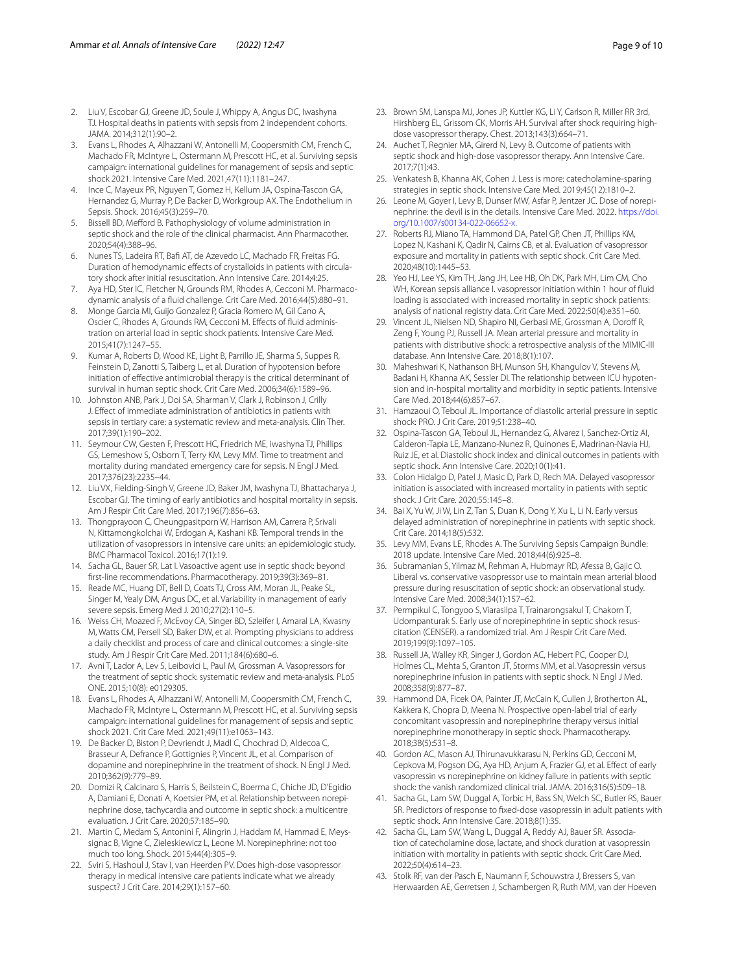- <span id="page-8-0"></span>2. Liu V, Escobar GJ, Greene JD, Soule J, Whippy A, Angus DC, Iwashyna TJ. Hospital deaths in patients with sepsis from 2 independent cohorts. JAMA. 2014;312(1):90–2.
- <span id="page-8-1"></span>3. Evans L, Rhodes A, Alhazzani W, Antonelli M, Coopersmith CM, French C, Machado FR, McIntyre L, Ostermann M, Prescott HC, et al. Surviving sepsis campaign: international guidelines for management of sepsis and septic shock 2021. Intensive Care Med. 2021;47(11):1181–247.
- <span id="page-8-2"></span>4. Ince C, Mayeux PR, Nguyen T, Gomez H, Kellum JA, Ospina-Tascon GA, Hernandez G, Murray P, De Backer D, Workgroup AX. The Endothelium in Sepsis. Shock. 2016;45(3):259–70.
- <span id="page-8-3"></span>5. Bissell BD, Meford B. Pathophysiology of volume administration in septic shock and the role of the clinical pharmacist. Ann Pharmacother. 2020;54(4):388–96.
- 6. Nunes TS, Ladeira RT, Baf AT, de Azevedo LC, Machado FR, Freitas FG. Duration of hemodynamic effects of crystalloids in patients with circulatory shock after initial resuscitation. Ann Intensive Care. 2014;4:25.
- 7. Aya HD, Ster IC, Fletcher N, Grounds RM, Rhodes A, Cecconi M. Pharmacodynamic analysis of a fuid challenge. Crit Care Med. 2016;44(5):880–91.
- <span id="page-8-4"></span>8. Monge Garcia MI, Guijo Gonzalez P, Gracia Romero M, Gil Cano A, Oscier C, Rhodes A, Grounds RM, Cecconi M. Efects of fuid administration on arterial load in septic shock patients. Intensive Care Med. 2015;41(7):1247–55.
- <span id="page-8-5"></span>9. Kumar A, Roberts D, Wood KE, Light B, Parrillo JE, Sharma S, Suppes R, Feinstein D, Zanotti S, Taiberg L, et al. Duration of hypotension before initiation of efective antimicrobial therapy is the critical determinant of survival in human septic shock. Crit Care Med. 2006;34(6):1589–96.
- <span id="page-8-6"></span>10. Johnston ANB, Park J, Doi SA, Sharman V, Clark J, Robinson J, Crilly J. Efect of immediate administration of antibiotics in patients with sepsis in tertiary care: a systematic review and meta-analysis. Clin Ther. 2017;39(1):190–202.
- <span id="page-8-7"></span>11. Seymour CW, Gesten F, Prescott HC, Friedrich ME, Iwashyna TJ, Phillips GS, Lemeshow S, Osborn T, Terry KM, Levy MM. Time to treatment and mortality during mandated emergency care for sepsis. N Engl J Med. 2017;376(23):2235–44.
- <span id="page-8-8"></span>12. Liu VX, Fielding-Singh V, Greene JD, Baker JM, Iwashyna TJ, Bhattacharya J, Escobar GJ. The timing of early antibiotics and hospital mortality in sepsis. Am J Respir Crit Care Med. 2017;196(7):856–63.
- <span id="page-8-9"></span>13. Thongprayoon C, Cheungpasitporn W, Harrison AM, Carrera P, Srivali N, Kittamongkolchai W, Erdogan A, Kashani KB. Temporal trends in the utilization of vasopressors in intensive care units: an epidemiologic study. BMC Pharmacol Toxicol. 2016;17(1):19.
- <span id="page-8-14"></span>14. Sacha GL, Bauer SR, Lat I. Vasoactive agent use in septic shock: beyond frst-line recommendations. Pharmacotherapy. 2019;39(3):369–81.
- <span id="page-8-10"></span>15. Reade MC, Huang DT, Bell D, Coats TJ, Cross AM, Moran JL, Peake SL, Singer M, Yealy DM, Angus DC, et al. Variability in management of early severe sepsis. Emerg Med J. 2010;27(2):110–5.
- <span id="page-8-11"></span>16. Weiss CH, Moazed F, McEvoy CA, Singer BD, Szleifer I, Amaral LA, Kwasny M, Watts CM, Persell SD, Baker DW, et al. Prompting physicians to address a daily checklist and process of care and clinical outcomes: a single-site study. Am J Respir Crit Care Med. 2011;184(6):680–6.
- <span id="page-8-12"></span>17. Avni T, Lador A, Lev S, Leibovici L, Paul M, Grossman A. Vasopressors for the treatment of septic shock: systematic review and meta-analysis. PLoS ONE. 2015;10(8): e0129305.
- <span id="page-8-13"></span>18. Evans L, Rhodes A, Alhazzani W, Antonelli M, Coopersmith CM, French C, Machado FR, McIntyre L, Ostermann M, Prescott HC, et al. Surviving sepsis campaign: international guidelines for management of sepsis and septic shock 2021. Crit Care Med. 2021;49(11):e1063–143.
- 19. De Backer D, Biston P, Devriendt J, Madl C, Chochrad D, Aldecoa C, Brasseur A, Defrance P, Gottignies P, Vincent JL, et al. Comparison of dopamine and norepinephrine in the treatment of shock. N Engl J Med. 2010;362(9):779–89.
- <span id="page-8-15"></span>20. Domizi R, Calcinaro S, Harris S, Beilstein C, Boerma C, Chiche JD, D'Egidio A, Damiani E, Donati A, Koetsier PM, et al. Relationship between norepinephrine dose, tachycardia and outcome in septic shock: a multicentre evaluation. J Crit Care. 2020;57:185–90.
- <span id="page-8-16"></span>21. Martin C, Medam S, Antonini F, Alingrin J, Haddam M, Hammad E, Meyssignac B, Vigne C, Zieleskiewicz L, Leone M. Norepinephrine: not too much too long. Shock. 2015;44(4):305–9.
- 22. Sviri S, Hashoul J, Stav I, van Heerden PV. Does high-dose vasopressor therapy in medical intensive care patients indicate what we already suspect? J Crit Care. 2014;29(1):157–60.
- <span id="page-8-17"></span>23. Brown SM, Lanspa MJ, Jones JP, Kuttler KG, Li Y, Carlson R, Miller RR 3rd, Hirshberg EL, Grissom CK, Morris AH. Survival after shock requiring highdose vasopressor therapy. Chest. 2013;143(3):664–71.
- <span id="page-8-18"></span>24. Auchet T, Regnier MA, Girerd N, Levy B. Outcome of patients with septic shock and high-dose vasopressor therapy. Ann Intensive Care. 2017;7(1):43.
- <span id="page-8-19"></span>25. Venkatesh B, Khanna AK, Cohen J. Less is more: catecholamine-sparing strategies in septic shock. Intensive Care Med. 2019;45(12):1810–2.
- <span id="page-8-20"></span>26. Leone M, Goyer I, Levy B, Dunser MW, Asfar P, Jentzer JC. Dose of norepinephrine: the devil is in the details. Intensive Care Med. 2022. [https://doi.](https://doi.org/10.1007/s00134-022-06652-x) [org/10.1007/s00134-022-06652-x.](https://doi.org/10.1007/s00134-022-06652-x)
- <span id="page-8-21"></span>27. Roberts RJ, Miano TA, Hammond DA, Patel GP, Chen JT, Phillips KM, Lopez N, Kashani K, Qadir N, Cairns CB, et al. Evaluation of vasopressor exposure and mortality in patients with septic shock. Crit Care Med. 2020;48(10):1445–53.
- <span id="page-8-22"></span>28. Yeo HJ, Lee YS, Kim TH, Jang JH, Lee HB, Oh DK, Park MH, Lim CM, Cho WH. Korean sepsis alliance I. vasopressor initiation within 1 hour of fluid loading is associated with increased mortality in septic shock patients: analysis of national registry data. Crit Care Med. 2022;50(4):e351–60.
- <span id="page-8-23"></span>29. Vincent JL, Nielsen ND, Shapiro NI, Gerbasi ME, Grossman A, Doroff R, Zeng F, Young PJ, Russell JA. Mean arterial pressure and mortality in patients with distributive shock: a retrospective analysis of the MIMIC-III database. Ann Intensive Care. 2018;8(1):107.
- <span id="page-8-24"></span>30. Maheshwari K, Nathanson BH, Munson SH, Khangulov V, Stevens M, Badani H, Khanna AK, Sessler DI. The relationship between ICU hypotension and in-hospital mortality and morbidity in septic patients. Intensive Care Med. 2018;44(6):857–67.
- <span id="page-8-25"></span>31. Hamzaoui O, Teboul JL. Importance of diastolic arterial pressure in septic shock: PRO. J Crit Care. 2019;51:238–40.
- <span id="page-8-26"></span>32. Ospina-Tascon GA, Teboul JL, Hernandez G, Alvarez I, Sanchez-Ortiz AI, Calderon-Tapia LE, Manzano-Nunez R, Quinones E, Madrinan-Navia HJ, Ruiz JE, et al. Diastolic shock index and clinical outcomes in patients with septic shock. Ann Intensive Care. 2020;10(1):41.
- <span id="page-8-27"></span>33. Colon Hidalgo D, Patel J, Masic D, Park D, Rech MA. Delayed vasopressor initiation is associated with increased mortality in patients with septic shock. J Crit Care. 2020;55:145–8.
- <span id="page-8-28"></span>34. Bai X, Yu W, Ji W, Lin Z, Tan S, Duan K, Dong Y, Xu L, Li N. Early versus delayed administration of norepinephrine in patients with septic shock. Crit Care. 2014;18(5):532.
- <span id="page-8-29"></span>35. Levy MM, Evans LE, Rhodes A. The Surviving Sepsis Campaign Bundle: 2018 update. Intensive Care Med. 2018;44(6):925–8.
- <span id="page-8-30"></span>36. Subramanian S, Yilmaz M, Rehman A, Hubmayr RD, Afessa B, Gajic O. Liberal vs. conservative vasopressor use to maintain mean arterial blood pressure during resuscitation of septic shock: an observational study. Intensive Care Med. 2008;34(1):157–62.
- <span id="page-8-31"></span>37. Permpikul C, Tongyoo S, Viarasilpa T, Trainarongsakul T, Chakorn T, Udompanturak S. Early use of norepinephrine in septic shock resuscitation (CENSER). a randomized trial. Am J Respir Crit Care Med. 2019;199(9):1097–105.
- <span id="page-8-32"></span>38. Russell JA, Walley KR, Singer J, Gordon AC, Hebert PC, Cooper DJ, Holmes CL, Mehta S, Granton JT, Storms MM, et al. Vasopressin versus norepinephrine infusion in patients with septic shock. N Engl J Med. 2008;358(9):877–87.
- <span id="page-8-33"></span>39. Hammond DA, Ficek OA, Painter JT, McCain K, Cullen J, Brotherton AL, Kakkera K, Chopra D, Meena N. Prospective open-label trial of early concomitant vasopressin and norepinephrine therapy versus initial norepinephrine monotherapy in septic shock. Pharmacotherapy. 2018;38(5):531–8.
- <span id="page-8-34"></span>40. Gordon AC, Mason AJ, Thirunavukkarasu N, Perkins GD, Cecconi M, Cepkova M, Pogson DG, Aya HD, Anjum A, Frazier GJ, et al. Efect of early vasopressin vs norepinephrine on kidney failure in patients with septic shock: the vanish randomized clinical trial. JAMA. 2016;316(5):509–18.
- <span id="page-8-35"></span>41. Sacha GL, Lam SW, Duggal A, Torbic H, Bass SN, Welch SC, Butler RS, Bauer SR. Predictors of response to fxed-dose vasopressin in adult patients with septic shock. Ann Intensive Care. 2018;8(1):35.
- <span id="page-8-36"></span>42. Sacha GL, Lam SW, Wang L, Duggal A, Reddy AJ, Bauer SR. Association of catecholamine dose, lactate, and shock duration at vasopressin initiation with mortality in patients with septic shock. Crit Care Med. 2022;50(4):614–23.
- <span id="page-8-37"></span>43. Stolk RF, van der Pasch E, Naumann F, Schouwstra J, Bressers S, van Herwaarden AE, Gerretsen J, Schambergen R, Ruth MM, van der Hoeven